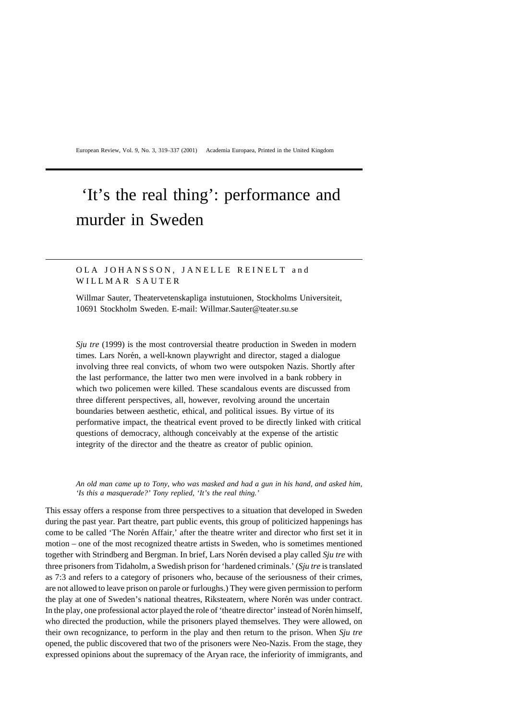European Review, Vol. 9, No. 3, 319-337 (2001)  $\odot$  Academia Europaea, Printed in the United Kingdom

# 'It's the real thing': performance and murder in Sweden

## OLA JOHANSSON, JANELLE REINELT and WILLMAR SAUTER

Willmar Sauter, Theatervetenskapliga instutuionen, Stockholms Universiteit, 10691 Stockholm Sweden. E-mail: Willmar.Sauter@teater.su.se

*Sju tre* (1999) is the most controversial theatre production in Sweden in modern times. Lars Norén, a well-known playwright and director, staged a dialogue involving three real convicts, of whom two were outspoken Nazis. Shortly after the last performance, the latter two men were involved in a bank robbery in which two policemen were killed. These scandalous events are discussed from three different perspectives, all, however, revolving around the uncertain boundaries between aesthetic, ethical, and political issues. By virtue of its performative impact, the theatrical event proved to be directly linked with critical questions of democracy, although conceivably at the expense of the artistic integrity of the director and the theatre as creator of public opinion.

*An old man came up to Tony, who was masked and had a gun in his hand, and asked him, 'Is this a masquerade?' Tony replied, 'It's the real thing.'*

This essay offers a response from three perspectives to a situation that developed in Sweden during the past year. Part theatre, part public events, this group of politicized happenings has come to be called 'The Norén Affair,' after the theatre writer and director who first set it in motion – one of the most recognized theatre artists in Sweden, who is sometimes mentioned together with Strindberg and Bergman. In brief, Lars Norén devised a play called *Sju tre* with three prisoners from Tidaholm, a Swedish prison for 'hardened criminals.' (*Sju tre* is translated as 7:3 and refers to a category of prisoners who, because of the seriousness of their crimes, are not allowed to leave prison on parole or furloughs.) They were given permission to perform the play at one of Sweden's national theatres, Riksteatern, where Norén was under contract. In the play, one professional actor played the role of 'theatre director' instead of Norén himself, who directed the production, while the prisoners played themselves. They were allowed, on their own recognizance, to perform in the play and then return to the prison. When *Sju tre* opened, the public discovered that two of the prisoners were Neo-Nazis. From the stage, they expressed opinions about the supremacy of the Aryan race, the inferiority of immigrants, and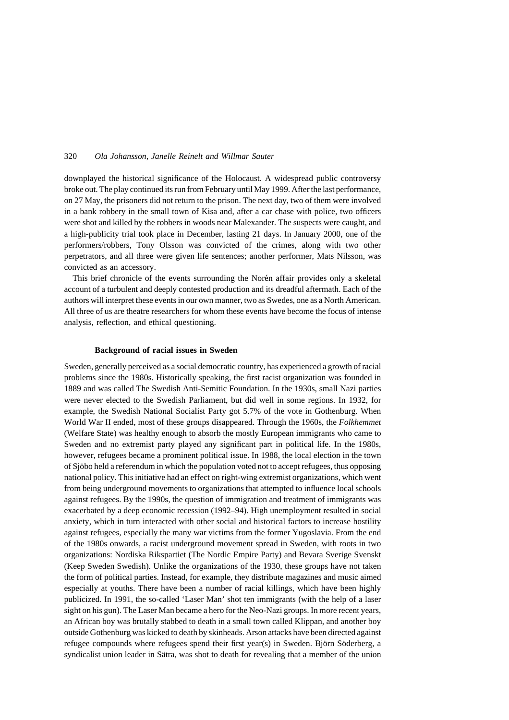downplayed the historical significance of the Holocaust. A widespread public controversy broke out. The play continued its run from February until May 1999. After the last performance, on 27 May, the prisoners did not return to the prison. The next day, two of them were involved in a bank robbery in the small town of Kisa and, after a car chase with police, two officers were shot and killed by the robbers in woods near Malexander. The suspects were caught, and a high-publicity trial took place in December, lasting 21 days. In January 2000, one of the performers/robbers, Tony Olsson was convicted of the crimes, along with two other perpetrators, and all three were given life sentences; another performer, Mats Nilsson, was convicted as an accessory.

This brief chronicle of the events surrounding the Norén affair provides only a skeletal account of a turbulent and deeply contested production and its dreadful aftermath. Each of the authors will interpret these events in our own manner, two as Swedes, one as a North American. All three of us are theatre researchers for whom these events have become the focus of intense analysis, reflection, and ethical questioning.

#### **Background of racial issues in Sweden**

Sweden, generally perceived as a social democratic country, has experienced a growth of racial problems since the 1980s. Historically speaking, the first racist organization was founded in 1889 and was called The Swedish Anti-Semitic Foundation. In the 1930s, small Nazi parties were never elected to the Swedish Parliament, but did well in some regions. In 1932, for example, the Swedish National Socialist Party got 5.7% of the vote in Gothenburg. When World War II ended, most of these groups disappeared. Through the 1960s, the *Folkhemmet* (Welfare State) was healthy enough to absorb the mostly European immigrants who came to Sweden and no extremist party played any significant part in political life. In the 1980s, however, refugees became a prominent political issue. In 1988, the local election in the town of Sjöbo held a referendum in which the population voted not to accept refugees, thus opposing national policy. This initiative had an effect on right-wing extremist organizations, which went from being underground movements to organizations that attempted to influence local schools against refugees. By the 1990s, the question of immigration and treatment of immigrants was exacerbated by a deep economic recession (1992–94). High unemployment resulted in social anxiety, which in turn interacted with other social and historical factors to increase hostility against refugees, especially the many war victims from the former Yugoslavia. From the end of the 1980s onwards, a racist underground movement spread in Sweden, with roots in two organizations: Nordiska Rikspartiet (The Nordic Empire Party) and Bevara Sverige Svenskt (Keep Sweden Swedish). Unlike the organizations of the 1930, these groups have not taken the form of political parties. Instead, for example, they distribute magazines and music aimed especially at youths. There have been a number of racial killings, which have been highly publicized. In 1991, the so-called 'Laser Man' shot ten immigrants (with the help of a laser sight on his gun). The Laser Man became a hero for the Neo-Nazi groups. In more recent years, an African boy was brutally stabbed to death in a small town called Klippan, and another boy outside Gothenburg was kicked to death by skinheads. Arson attacks have been directed against refugee compounds where refugees spend their first year(s) in Sweden. Björn Söderberg, a syndicalist union leader in Sätra, was shot to death for revealing that a member of the union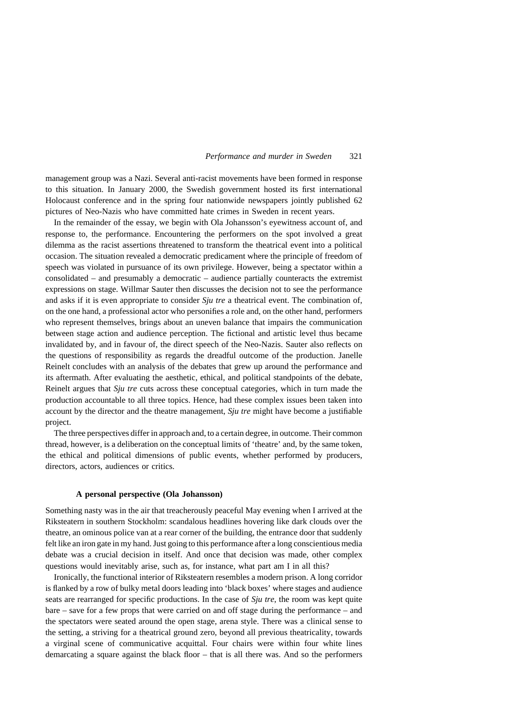management group was a Nazi. Several anti-racist movements have been formed in response to this situation. In January 2000, the Swedish government hosted its first international Holocaust conference and in the spring four nationwide newspapers jointly published 62 pictures of Neo-Nazis who have committed hate crimes in Sweden in recent years.

In the remainder of the essay, we begin with Ola Johansson's eyewitness account of, and response to, the performance. Encountering the performers on the spot involved a great dilemma as the racist assertions threatened to transform the theatrical event into a political occasion. The situation revealed a democratic predicament where the principle of freedom of speech was violated in pursuance of its own privilege. However, being a spectator within a consolidated – and presumably a democratic – audience partially counteracts the extremist expressions on stage. Willmar Sauter then discusses the decision not to see the performance and asks if it is even appropriate to consider *Sju tre* a theatrical event. The combination of, on the one hand, a professional actor who personifies a role and, on the other hand, performers who represent themselves, brings about an uneven balance that impairs the communication between stage action and audience perception. The fictional and artistic level thus became invalidated by, and in favour of, the direct speech of the Neo-Nazis. Sauter also reflects on the questions of responsibility as regards the dreadful outcome of the production. Janelle Reinelt concludes with an analysis of the debates that grew up around the performance and its aftermath. After evaluating the aesthetic, ethical, and political standpoints of the debate, Reinelt argues that *Sju tre* cuts across these conceptual categories, which in turn made the production accountable to all three topics. Hence, had these complex issues been taken into account by the director and the theatre management, *Sju tre* might have become a justifiable project.

The three perspectives differ in approach and, to a certain degree, in outcome. Their common thread, however, is a deliberation on the conceptual limits of 'theatre' and, by the same token, the ethical and political dimensions of public events, whether performed by producers, directors, actors, audiences or critics.

#### **A personal perspective (Ola Johansson)**

Something nasty was in the air that treacherously peaceful May evening when I arrived at the Riksteatern in southern Stockholm: scandalous headlines hovering like dark clouds over the theatre, an ominous police van at a rear corner of the building, the entrance door that suddenly felt like an iron gate in my hand. Just going to this performance after a long conscientious media debate was a crucial decision in itself. And once that decision was made, other complex questions would inevitably arise, such as, for instance, what part am I in all this?

Ironically, the functional interior of Riksteatern resembles a modern prison. A long corridor is flanked by a row of bulky metal doors leading into 'black boxes' where stages and audience seats are rearranged for specific productions. In the case of *Sju tre*, the room was kept quite bare – save for a few props that were carried on and off stage during the performance – and the spectators were seated around the open stage, arena style. There was a clinical sense to the setting, a striving for a theatrical ground zero, beyond all previous theatricality, towards a virginal scene of communicative acquittal. Four chairs were within four white lines demarcating a square against the black floor – that is all there was. And so the performers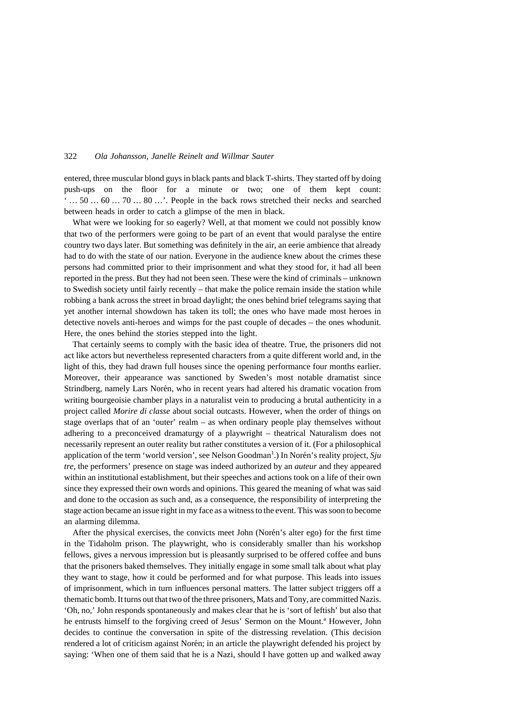entered, three muscular blond guys in black pants and black T-shirts. They started off by doing push-ups on the floor for a minute or two; one of them kept count:  $\ldots$  50  $\ldots$  60  $\ldots$  70  $\ldots$  80  $\ldots$ . People in the back rows stretched their necks and searched between heads in order to catch a glimpse of the men in black.

What were we looking for so eagerly? Well, at that moment we could not possibly know that two of the performers were going to be part of an event that would paralyse the entire country two days later. But something was definitely in the air, an eerie ambience that already had to do with the state of our nation. Everyone in the audience knew about the crimes these persons had committed prior to their imprisonment and what they stood for, it had all been reported in the press. But they had not been seen. These were the kind of criminals – unknown to Swedish society until fairly recently – that make the police remain inside the station while robbing a bank across the street in broad daylight; the ones behind brief telegrams saying that yet another internal showdown has taken its toll; the ones who have made most heroes in detective novels anti-heroes and wimps for the past couple of decades – the ones whodunit. Here, the ones behind the stories stepped into the light.

That certainly seems to comply with the basic idea of theatre. True, the prisoners did not act like actors but nevertheless represented characters from a quite different world and, in the light of this, they had drawn full houses since the opening performance four months earlier. Moreover, their appearance was sanctioned by Sweden's most notable dramatist since Strindberg, namely Lars Norén, who in recent years had altered his dramatic vocation from writing bourgeoisie chamber plays in a naturalist vein to producing a brutal authenticity in a project called *Morire di classe* about social outcasts. However, when the order of things on stage overlaps that of an 'outer' realm – as when ordinary people play themselves without adhering to a preconceived dramaturgy of a playwright – theatrical Naturalism does not necessarily represent an outer reality but rather constitutes a version of it. (For a philosophical application of the term 'world version', see Nelson Goodman<sup>1</sup>.) In Norén's reality project, Sju *tre*, the performers' presence on stage was indeed authorized by an *auteur* and they appeared within an institutional establishment, but their speeches and actions took on a life of their own since they expressed their own words and opinions. This geared the meaning of what was said and done to the occasion as such and, as a consequence, the responsibility of interpreting the stage action became an issue right in my face as a witness to the event. This was soon to become an alarming dilemma.

After the physical exercises, the convicts meet John (Norén's alter ego) for the first time in the Tidaholm prison. The playwright, who is considerably smaller than his workshop fellows, gives a nervous impression but is pleasantly surprised to be offered coffee and buns that the prisoners baked themselves. They initially engage in some small talk about what play they want to stage, how it could be performed and for what purpose. This leads into issues of imprisonment, which in turn influences personal matters. The latter subject triggers off a thematic bomb. It turns out that two of the three prisoners, Mats and Tony, are committed Nazis. 'Oh, no,' John responds spontaneously and makes clear that he is 'sort of leftish' but also that he entrusts himself to the forgiving creed of Jesus' Sermon on the Mount.<sup>a</sup> However, John decides to continue the conversation in spite of the distressing revelation. (This decision rendered a lot of criticism against Norén; in an article the playwright defended his project by saying: 'When one of them said that he is a Nazi, should I have gotten up and walked away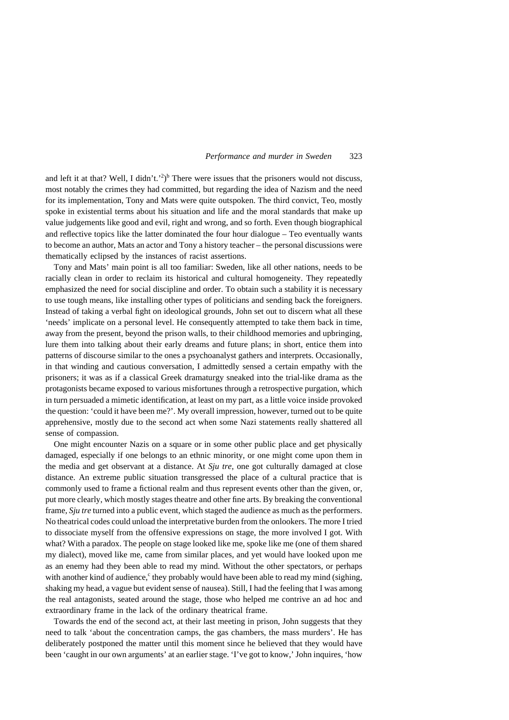and left it at that? Well, I didn't.<sup>2</sup> $)$ <sup>b</sup> There were issues that the prisoners would not discuss, most notably the crimes they had committed, but regarding the idea of Nazism and the need for its implementation, Tony and Mats were quite outspoken. The third convict, Teo, mostly spoke in existential terms about his situation and life and the moral standards that make up value judgements like good and evil, right and wrong, and so forth. Even though biographical and reflective topics like the latter dominated the four hour dialogue – Teo eventually wants to become an author, Mats an actor and Tony a history teacher – the personal discussions were thematically eclipsed by the instances of racist assertions.

Tony and Mats' main point is all too familiar: Sweden, like all other nations, needs to be racially clean in order to reclaim its historical and cultural homogeneity. They repeatedly emphasized the need for social discipline and order. To obtain such a stability it is necessary to use tough means, like installing other types of politicians and sending back the foreigners. Instead of taking a verbal fight on ideological grounds, John set out to discern what all these 'needs' implicate on a personal level. He consequently attempted to take them back in time, away from the present, beyond the prison walls, to their childhood memories and upbringing, lure them into talking about their early dreams and future plans; in short, entice them into patterns of discourse similar to the ones a psychoanalyst gathers and interprets. Occasionally, in that winding and cautious conversation, I admittedly sensed a certain empathy with the prisoners; it was as if a classical Greek dramaturgy sneaked into the trial-like drama as the protagonists became exposed to various misfortunes through a retrospective purgation, which in turn persuaded a mimetic identification, at least on my part, as a little voice inside provoked the question: 'could it have been me?'. My overall impression, however, turned out to be quite apprehensive, mostly due to the second act when some Nazi statements really shattered all sense of compassion.

One might encounter Nazis on a square or in some other public place and get physically damaged, especially if one belongs to an ethnic minority, or one might come upon them in the media and get observant at a distance. At *Sju tre*, one got culturally damaged at close distance. An extreme public situation transgressed the place of a cultural practice that is commonly used to frame a fictional realm and thus represent events other than the given, or, put more clearly, which mostly stages theatre and other fine arts. By breaking the conventional frame, *Sju tre* turned into a public event, which staged the audience as much as the performers. No theatrical codes could unload the interpretative burden from the onlookers. The more I tried to dissociate myself from the offensive expressions on stage, the more involved I got. With what? With a paradox. The people on stage looked like me, spoke like me (one of them shared my dialect), moved like me, came from similar places, and yet would have looked upon me as an enemy had they been able to read my mind. Without the other spectators, or perhaps with another kind of audience, $\epsilon$  they probably would have been able to read my mind (sighing, shaking my head, a vague but evident sense of nausea). Still, I had the feeling that I was among the real antagonists, seated around the stage, those who helped me contrive an ad hoc and extraordinary frame in the lack of the ordinary theatrical frame.

Towards the end of the second act, at their last meeting in prison, John suggests that they need to talk 'about the concentration camps, the gas chambers, the mass murders'. He has deliberately postponed the matter until this moment since he believed that they would have been 'caught in our own arguments' at an earlier stage. 'I've got to know,' John inquires, 'how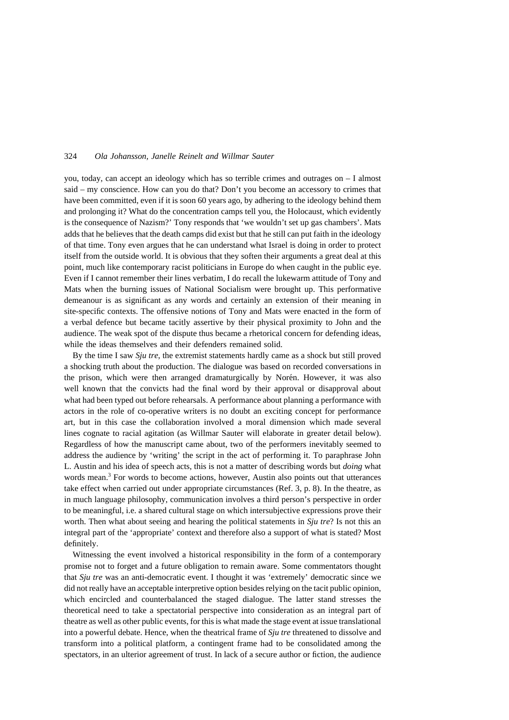you, today, can accept an ideology which has so terrible crimes and outrages on – I almost said – my conscience. How can you do that? Don't you become an accessory to crimes that have been committed, even if it is soon 60 years ago, by adhering to the ideology behind them and prolonging it? What do the concentration camps tell you, the Holocaust, which evidently is the consequence of Nazism?' Tony responds that 'we wouldn't set up gas chambers'. Mats adds that he believes that the death camps did exist but that he still can put faith in the ideology of that time. Tony even argues that he can understand what Israel is doing in order to protect itself from the outside world. It is obvious that they soften their arguments a great deal at this point, much like contemporary racist politicians in Europe do when caught in the public eye. Even if I cannot remember their lines verbatim, I do recall the lukewarm attitude of Tony and Mats when the burning issues of National Socialism were brought up. This performative demeanour is as significant as any words and certainly an extension of their meaning in site-specific contexts. The offensive notions of Tony and Mats were enacted in the form of a verbal defence but became tacitly assertive by their physical proximity to John and the audience. The weak spot of the dispute thus became a rhetorical concern for defending ideas, while the ideas themselves and their defenders remained solid.

By the time I saw *Sju tre*, the extremist statements hardly came as a shock but still proved a shocking truth about the production. The dialogue was based on recorded conversations in the prison, which were then arranged dramaturgically by Norén. However, it was also well known that the convicts had the final word by their approval or disapproval about what had been typed out before rehearsals. A performance about planning a performance with actors in the role of co-operative writers is no doubt an exciting concept for performance art, but in this case the collaboration involved a moral dimension which made several lines cognate to racial agitation (as Willmar Sauter will elaborate in greater detail below). Regardless of how the manuscript came about, two of the performers inevitably seemed to address the audience by 'writing' the script in the act of performing it. To paraphrase John L. Austin and his idea of speech acts, this is not a matter of describing words but *doing* what words mean.<sup>3</sup> For words to become actions, however, Austin also points out that utterances take effect when carried out under appropriate circumstances (Ref. 3, p. 8). In the theatre, as in much language philosophy, communication involves a third person's perspective in order to be meaningful, i.e. a shared cultural stage on which intersubjective expressions prove their worth. Then what about seeing and hearing the political statements in *Sju tre*? Is not this an integral part of the 'appropriate' context and therefore also a support of what is stated? Most definitely.

Witnessing the event involved a historical responsibility in the form of a contemporary promise not to forget and a future obligation to remain aware. Some commentators thought that *Sju tre* was an anti-democratic event. I thought it was 'extremely' democratic since we did not really have an acceptable interpretive option besides relying on the tacit public opinion, which encircled and counterbalanced the staged dialogue. The latter stand stresses the theoretical need to take a spectatorial perspective into consideration as an integral part of theatre as well as other public events, for this is what made the stage event at issue translational into a powerful debate. Hence, when the theatrical frame of *Sju tre* threatened to dissolve and transform into a political platform, a contingent frame had to be consolidated among the spectators, in an ulterior agreement of trust. In lack of a secure author or fiction, the audience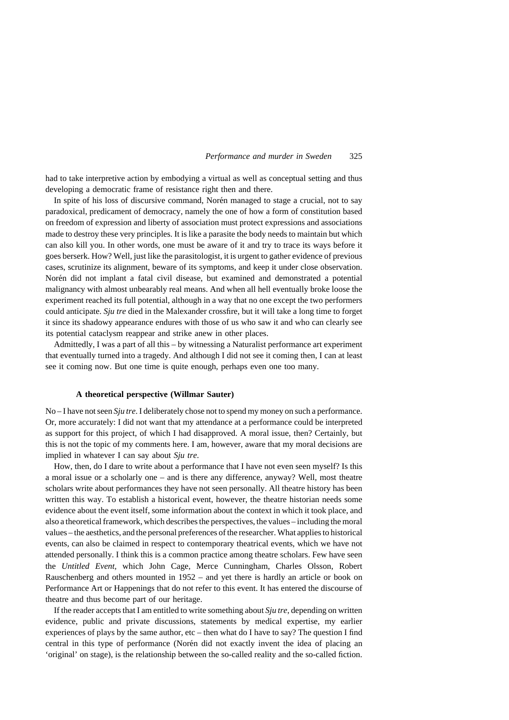had to take interpretive action by embodying a virtual as well as conceptual setting and thus developing a democratic frame of resistance right then and there.

In spite of his loss of discursive command, Norén managed to stage a crucial, not to say paradoxical, predicament of democracy, namely the one of how a form of constitution based on freedom of expression and liberty of association must protect expressions and associations made to destroy these very principles. It is like a parasite the body needs to maintain but which can also kill you. In other words, one must be aware of it and try to trace its ways before it goes berserk. How? Well, just like the parasitologist, it is urgent to gather evidence of previous cases, scrutinize its alignment, beware of its symptoms, and keep it under close observation. Norén did not implant a fatal civil disease, but examined and demonstrated a potential malignancy with almost unbearably real means. And when all hell eventually broke loose the experiment reached its full potential, although in a way that no one except the two performers could anticipate. *Sju tre* died in the Malexander crossfire, but it will take a long time to forget it since its shadowy appearance endures with those of us who saw it and who can clearly see its potential cataclysm reappear and strike anew in other places.

Admittedly, I was a part of all this – by witnessing a Naturalist performance art experiment that eventually turned into a tragedy. And although I did not see it coming then, I can at least see it coming now. But one time is quite enough, perhaps even one too many.

#### **A theoretical perspective (Willmar Sauter)**

No – I have not seen *Sju tre*. I deliberately chose not to spend my money on such a performance. Or, more accurately: I did not want that my attendance at a performance could be interpreted as support for this project, of which I had disapproved. A moral issue, then? Certainly, but this is not the topic of my comments here. I am, however, aware that my moral decisions are implied in whatever I can say about *Sju tre*.

How, then, do I dare to write about a performance that I have not even seen myself? Is this a moral issue or a scholarly one – and is there any difference, anyway? Well, most theatre scholars write about performances they have not seen personally. All theatre history has been written this way. To establish a historical event, however, the theatre historian needs some evidence about the event itself, some information about the context in which it took place, and also a theoretical framework, which describes the perspectives, the values – including the moral values – the aesthetics, and the personal preferences of the researcher. What applies to historical events, can also be claimed in respect to contemporary theatrical events, which we have not attended personally. I think this is a common practice among theatre scholars. Few have seen the *Untitled Event,* which John Cage, Merce Cunningham, Charles Olsson, Robert Rauschenberg and others mounted in 1952 – and yet there is hardly an article or book on Performance Art or Happenings that do not refer to this event. It has entered the discourse of theatre and thus become part of our heritage.

If the reader accepts that I am entitled to write something about *Sju tre*, depending on written evidence, public and private discussions, statements by medical expertise, my earlier experiences of plays by the same author,  $etc$  – then what do I have to say? The question I find central in this type of performance (Norén did not exactly invent the idea of placing an 'original' on stage), is the relationship between the so-called reality and the so-called fiction.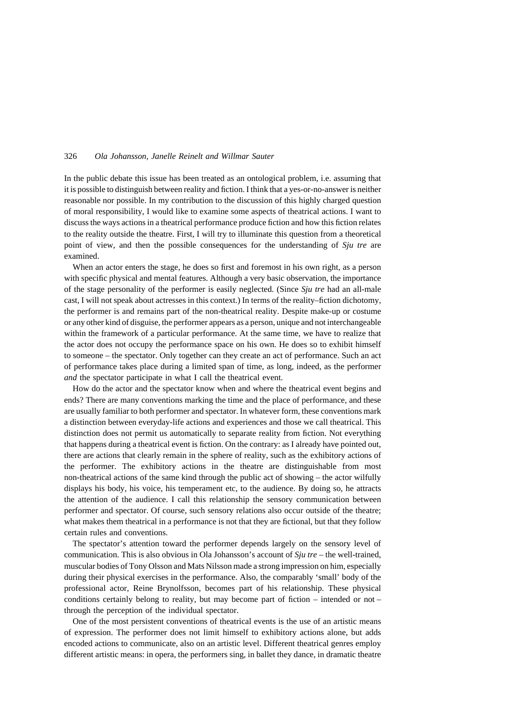In the public debate this issue has been treated as an ontological problem, i.e. assuming that it is possible to distinguish between reality and fiction. I think that a yes-or-no-answer is neither reasonable nor possible. In my contribution to the discussion of this highly charged question of moral responsibility, I would like to examine some aspects of theatrical actions. I want to discuss the ways actions in a theatrical performance produce fiction and how this fiction relates to the reality outside the theatre. First, I will try to illuminate this question from a theoretical point of view, and then the possible consequences for the understanding of *Sju tre* are examined.

When an actor enters the stage, he does so first and foremost in his own right, as a person with specific physical and mental features. Although a very basic observation, the importance of the stage personality of the performer is easily neglected. (Since *Sju tre* had an all-male cast, I will not speak about actresses in this context.) In terms of the reality–fiction dichotomy, the performer is and remains part of the non-theatrical reality. Despite make-up or costume or any other kind of disguise, the performer appears as a person, unique and not interchangeable within the framework of a particular performance. At the same time, we have to realize that the actor does not occupy the performance space on his own. He does so to exhibit himself to someone – the spectator. Only together can they create an act of performance. Such an act of performance takes place during a limited span of time, as long, indeed, as the performer *and* the spectator participate in what I call the theatrical event.

How do the actor and the spectator know when and where the theatrical event begins and ends? There are many conventions marking the time and the place of performance, and these are usually familiar to both performer and spectator. In whatever form, these conventions mark a distinction between everyday-life actions and experiences and those we call theatrical. This distinction does not permit us automatically to separate reality from fiction. Not everything that happens during a theatrical event is fiction. On the contrary: as I already have pointed out, there are actions that clearly remain in the sphere of reality, such as the exhibitory actions of the performer. The exhibitory actions in the theatre are distinguishable from most non-theatrical actions of the same kind through the public act of showing – the actor wilfully displays his body, his voice, his temperament etc, to the audience. By doing so, he attracts the attention of the audience. I call this relationship the sensory communication between performer and spectator. Of course, such sensory relations also occur outside of the theatre; what makes them theatrical in a performance is not that they are fictional, but that they follow certain rules and conventions.

The spectator's attention toward the performer depends largely on the sensory level of communication. This is also obvious in Ola Johansson's account of *Sju tre* – the well-trained, muscular bodies of Tony Olsson and Mats Nilsson made a strong impression on him, especially during their physical exercises in the performance. Also, the comparably 'small' body of the professional actor, Reine Brynolfsson, becomes part of his relationship. These physical conditions certainly belong to reality, but may become part of fiction – intended or not – through the perception of the individual spectator.

One of the most persistent conventions of theatrical events is the use of an artistic means of expression. The performer does not limit himself to exhibitory actions alone, but adds encoded actions to communicate, also on an artistic level. Different theatrical genres employ different artistic means: in opera, the performers sing, in ballet they dance, in dramatic theatre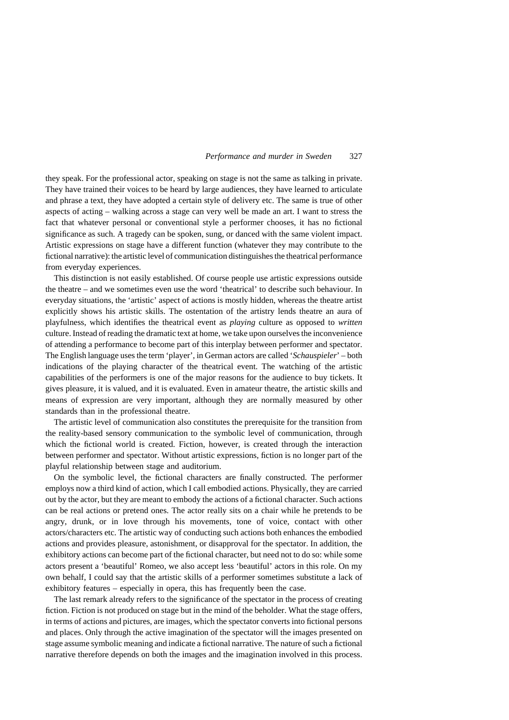they speak. For the professional actor, speaking on stage is not the same as talking in private. They have trained their voices to be heard by large audiences, they have learned to articulate and phrase a text, they have adopted a certain style of delivery etc. The same is true of other aspects of acting – walking across a stage can very well be made an art. I want to stress the fact that whatever personal or conventional style a performer chooses, it has no fictional significance as such. A tragedy can be spoken, sung, or danced with the same violent impact. Artistic expressions on stage have a different function (whatever they may contribute to the fictional narrative): the artistic level of communication distinguishes the theatrical performance from everyday experiences.

This distinction is not easily established. Of course people use artistic expressions outside the theatre – and we sometimes even use the word 'theatrical' to describe such behaviour. In everyday situations, the 'artistic' aspect of actions is mostly hidden, whereas the theatre artist explicitly shows his artistic skills. The ostentation of the artistry lends theatre an aura of playfulness, which identifies the theatrical event as *playing* culture as opposed to *written* culture. Instead of reading the dramatic text at home, we take upon ourselves the inconvenience of attending a performance to become part of this interplay between performer and spectator. The English language uses the term 'player', in German actors are called '*Schauspieler*' – both indications of the playing character of the theatrical event. The watching of the artistic capabilities of the performers is one of the major reasons for the audience to buy tickets. It gives pleasure, it is valued, and it is evaluated. Even in amateur theatre, the artistic skills and means of expression are very important, although they are normally measured by other standards than in the professional theatre.

The artistic level of communication also constitutes the prerequisite for the transition from the reality-based sensory communication to the symbolic level of communication, through which the fictional world is created. Fiction, however, is created through the interaction between performer and spectator. Without artistic expressions, fiction is no longer part of the playful relationship between stage and auditorium.

On the symbolic level, the fictional characters are finally constructed. The performer employs now a third kind of action, which I call embodied actions. Physically, they are carried out by the actor, but they are meant to embody the actions of a fictional character. Such actions can be real actions or pretend ones. The actor really sits on a chair while he pretends to be angry, drunk, or in love through his movements, tone of voice, contact with other actors/characters etc. The artistic way of conducting such actions both enhances the embodied actions and provides pleasure, astonishment, or disapproval for the spectator. In addition, the exhibitory actions can become part of the fictional character, but need not to do so: while some actors present a 'beautiful' Romeo, we also accept less 'beautiful' actors in this role. On my own behalf, I could say that the artistic skills of a performer sometimes substitute a lack of exhibitory features – especially in opera, this has frequently been the case.

The last remark already refers to the significance of the spectator in the process of creating fiction. Fiction is not produced on stage but in the mind of the beholder. What the stage offers, in terms of actions and pictures, are images, which the spectator converts into fictional persons and places. Only through the active imagination of the spectator will the images presented on stage assume symbolic meaning and indicate a fictional narrative. The nature of such a fictional narrative therefore depends on both the images and the imagination involved in this process.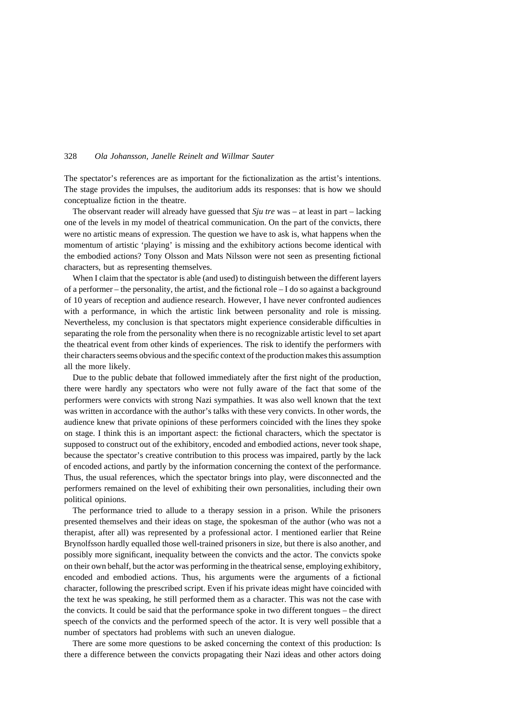The spectator's references are as important for the fictionalization as the artist's intentions. The stage provides the impulses, the auditorium adds its responses: that is how we should conceptualize fiction in the theatre.

The observant reader will already have guessed that *Sju tre* was – at least in part – lacking one of the levels in my model of theatrical communication. On the part of the convicts, there were no artistic means of expression. The question we have to ask is, what happens when the momentum of artistic 'playing' is missing and the exhibitory actions become identical with the embodied actions? Tony Olsson and Mats Nilsson were not seen as presenting fictional characters, but as representing themselves.

When I claim that the spectator is able (and used) to distinguish between the different layers of a performer – the personality, the artist, and the fictional role – I do so against a background of 10 years of reception and audience research. However, I have never confronted audiences with a performance, in which the artistic link between personality and role is missing. Nevertheless, my conclusion is that spectators might experience considerable difficulties in separating the role from the personality when there is no recognizable artistic level to set apart the theatrical event from other kinds of experiences. The risk to identify the performers with their characters seems obvious and the specific context of the production makes this assumption all the more likely.

Due to the public debate that followed immediately after the first night of the production, there were hardly any spectators who were not fully aware of the fact that some of the performers were convicts with strong Nazi sympathies. It was also well known that the text was written in accordance with the author's talks with these very convicts. In other words, the audience knew that private opinions of these performers coincided with the lines they spoke on stage. I think this is an important aspect: the fictional characters, which the spectator is supposed to construct out of the exhibitory, encoded and embodied actions, never took shape, because the spectator's creative contribution to this process was impaired, partly by the lack of encoded actions, and partly by the information concerning the context of the performance. Thus, the usual references, which the spectator brings into play, were disconnected and the performers remained on the level of exhibiting their own personalities, including their own political opinions.

The performance tried to allude to a therapy session in a prison. While the prisoners presented themselves and their ideas on stage, the spokesman of the author (who was not a therapist, after all) was represented by a professional actor. I mentioned earlier that Reine Brynolfsson hardly equalled those well-trained prisoners in size, but there is also another, and possibly more significant, inequality between the convicts and the actor. The convicts spoke on their own behalf, but the actor was performing in the theatrical sense, employing exhibitory, encoded and embodied actions. Thus, his arguments were the arguments of a fictional character, following the prescribed script. Even if his private ideas might have coincided with the text he was speaking, he still performed them as a character. This was not the case with the convicts. It could be said that the performance spoke in two different tongues – the direct speech of the convicts and the performed speech of the actor. It is very well possible that a number of spectators had problems with such an uneven dialogue.

There are some more questions to be asked concerning the context of this production: Is there a difference between the convicts propagating their Nazi ideas and other actors doing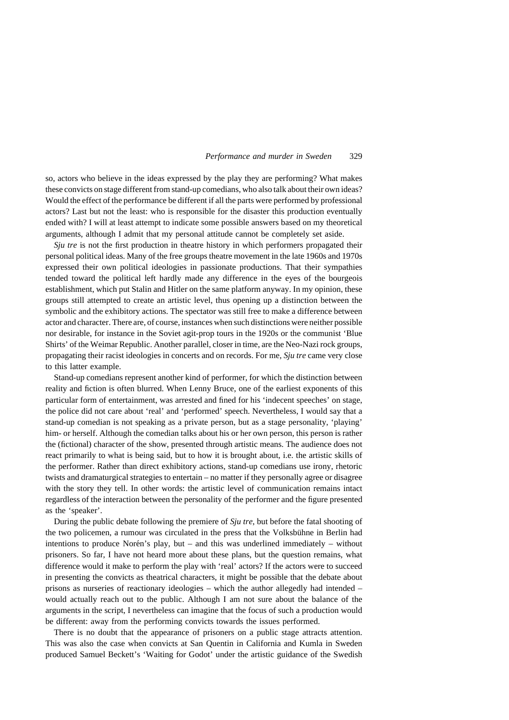so, actors who believe in the ideas expressed by the play they are performing? What makes these convicts on stage different from stand-up comedians, who also talk about their own ideas? Would the effect of the performance be different if all the parts were performed by professional actors? Last but not the least: who is responsible for the disaster this production eventually ended with? I will at least attempt to indicate some possible answers based on my theoretical arguments, although I admit that my personal attitude cannot be completely set aside.

*Siu tre* is not the first production in theatre history in which performers propagated their personal political ideas. Many of the free groups theatre movement in the late 1960s and 1970s expressed their own political ideologies in passionate productions. That their sympathies tended toward the political left hardly made any difference in the eyes of the bourgeois establishment, which put Stalin and Hitler on the same platform anyway. In my opinion, these groups still attempted to create an artistic level, thus opening up a distinction between the symbolic and the exhibitory actions. The spectator was still free to make a difference between actor and character. There are, of course, instances when such distinctions were neither possible nor desirable, for instance in the Soviet agit-prop tours in the 1920s or the communist 'Blue Shirts' of the Weimar Republic. Another parallel, closer in time, are the Neo-Nazi rock groups, propagating their racist ideologies in concerts and on records. For me, *Sju tre* came very close to this latter example.

Stand-up comedians represent another kind of performer, for which the distinction between reality and fiction is often blurred. When Lenny Bruce, one of the earliest exponents of this particular form of entertainment, was arrested and fined for his 'indecent speeches' on stage, the police did not care about 'real' and 'performed' speech. Nevertheless, I would say that a stand-up comedian is not speaking as a private person, but as a stage personality, 'playing' him- or herself. Although the comedian talks about his or her own person, this person is rather the (fictional) character of the show, presented through artistic means. The audience does not react primarily to what is being said, but to how it is brought about, i.e. the artistic skills of the performer. Rather than direct exhibitory actions, stand-up comedians use irony, rhetoric twists and dramaturgical strategies to entertain – no matter if they personally agree or disagree with the story they tell. In other words: the artistic level of communication remains intact regardless of the interaction between the personality of the performer and the figure presented as the 'speaker'.

During the public debate following the premiere of *Sju tre*, but before the fatal shooting of the two policemen, a rumour was circulated in the press that the Volksbühne in Berlin had intentions to produce Norén's play, but – and this was underlined immediately – without prisoners. So far, I have not heard more about these plans, but the question remains, what difference would it make to perform the play with 'real' actors? If the actors were to succeed in presenting the convicts as theatrical characters, it might be possible that the debate about prisons as nurseries of reactionary ideologies – which the author allegedly had intended – would actually reach out to the public. Although I am not sure about the balance of the arguments in the script, I nevertheless can imagine that the focus of such a production would be different: away from the performing convicts towards the issues performed.

There is no doubt that the appearance of prisoners on a public stage attracts attention. This was also the case when convicts at San Quentin in California and Kumla in Sweden produced Samuel Beckett's 'Waiting for Godot' under the artistic guidance of the Swedish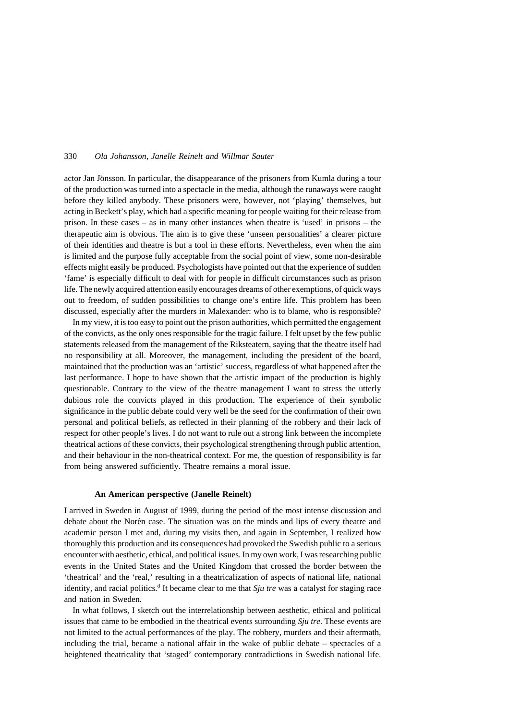actor Jan Jönsson. In particular, the disappearance of the prisoners from Kumla during a tour of the production was turned into a spectacle in the media, although the runaways were caught before they killed anybody. These prisoners were, however, not 'playing' themselves, but acting in Beckett's play, which had a specific meaning for people waiting for their release from prison. In these cases – as in many other instances when theatre is 'used' in prisons – the therapeutic aim is obvious. The aim is to give these 'unseen personalities' a clearer picture of their identities and theatre is but a tool in these efforts. Nevertheless, even when the aim is limited and the purpose fully acceptable from the social point of view, some non-desirable effects might easily be produced. Psychologists have pointed out that the experience of sudden 'fame' is especially difficult to deal with for people in difficult circumstances such as prison life. The newly acquired attention easily encourages dreams of other exemptions, of quick ways out to freedom, of sudden possibilities to change one's entire life. This problem has been discussed, especially after the murders in Malexander: who is to blame, who is responsible?

In my view, it is too easy to point out the prison authorities, which permitted the engagement of the convicts, as the only ones responsible for the tragic failure. I felt upset by the few public statements released from the management of the Riksteatern, saying that the theatre itself had no responsibility at all. Moreover, the management, including the president of the board, maintained that the production was an 'artistic' success, regardless of what happened after the last performance. I hope to have shown that the artistic impact of the production is highly questionable. Contrary to the view of the theatre management I want to stress the utterly dubious role the convicts played in this production. The experience of their symbolic significance in the public debate could very well be the seed for the confirmation of their own personal and political beliefs, as reflected in their planning of the robbery and their lack of respect for other people's lives. I do not want to rule out a strong link between the incomplete theatrical actions of these convicts, their psychological strengthening through public attention, and their behaviour in the non-theatrical context. For me, the question of responsibility is far from being answered sufficiently. Theatre remains a moral issue.

#### **An American perspective (Janelle Reinelt)**

I arrived in Sweden in August of 1999, during the period of the most intense discussion and debate about the Norén case. The situation was on the minds and lips of every theatre and academic person I met and, during my visits then, and again in September, I realized how thoroughly this production and its consequences had provoked the Swedish public to a serious encounter with aesthetic, ethical, and political issues. In my own work, I was researching public events in the United States and the United Kingdom that crossed the border between the 'theatrical' and the 'real,' resulting in a theatricalization of aspects of national life, national identity, and racial politics.<sup>d</sup> It became clear to me that  $S_j u$  *tre* was a catalyst for staging race and nation in Sweden.

In what follows, I sketch out the interrelationship between aesthetic, ethical and political issues that came to be embodied in the theatrical events surrounding *Sju tre*. These events are not limited to the actual performances of the play. The robbery, murders and their aftermath, including the trial, became a national affair in the wake of public debate – spectacles of a heightened theatricality that 'staged' contemporary contradictions in Swedish national life.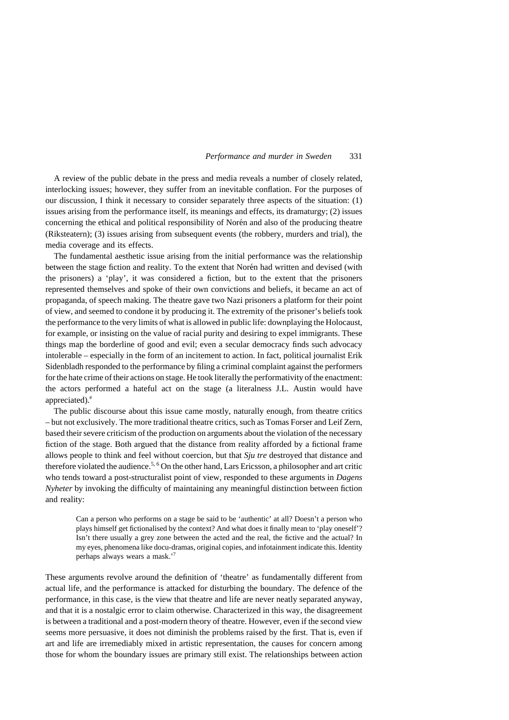A review of the public debate in the press and media reveals a number of closely related, interlocking issues; however, they suffer from an inevitable conflation. For the purposes of our discussion, I think it necessary to consider separately three aspects of the situation: (1) issues arising from the performance itself, its meanings and effects, its dramaturgy; (2) issues concerning the ethical and political responsibility of Norén and also of the producing theatre (Riksteatern); (3) issues arising from subsequent events (the robbery, murders and trial), the media coverage and its effects.

The fundamental aesthetic issue arising from the initial performance was the relationship between the stage fiction and reality. To the extent that Norén had written and devised (with the prisoners) a 'play', it was considered a fiction, but to the extent that the prisoners represented themselves and spoke of their own convictions and beliefs, it became an act of propaganda, of speech making. The theatre gave two Nazi prisoners a platform for their point of view, and seemed to condone it by producing it. The extremity of the prisoner's beliefs took the performance to the very limits of what is allowed in public life: downplaying the Holocaust, for example, or insisting on the value of racial purity and desiring to expel immigrants. These things map the borderline of good and evil; even a secular democracy finds such advocacy intolerable – especially in the form of an incitement to action. In fact, political journalist Erik Sidenbladh responded to the performance by filing a criminal complaint against the performers for the hate crime of their actions on stage. He took literally the performativity of the enactment: the actors performed a hateful act on the stage (a literalness J.L. Austin would have appreciated).<sup>e</sup>

The public discourse about this issue came mostly, naturally enough, from theatre critics – but not exclusively. The more traditional theatre critics, such as Tomas Forser and Leif Zern, based their severe criticism of the production on arguments about the violation of the necessary fiction of the stage. Both argued that the distance from reality afforded by a fictional frame allows people to think and feel without coercion, but that *Sju tre* destroyed that distance and therefore violated the audience.<sup>5, 6</sup> On the other hand, Lars Ericsson, a philosopher and art critic who tends toward a post-structuralist point of view, responded to these arguments in *Dagens Nyheter* by invoking the difficulty of maintaining any meaningful distinction between fiction and reality:

Can a person who performs on a stage be said to be 'authentic' at all? Doesn't a person who plays himself get fictionalised by the context? And what does it finally mean to 'play oneself'? Isn't there usually a grey zone between the acted and the real, the fictive and the actual? In my eyes, phenomena like docu-dramas, original copies, and infotainment indicate this. Identity perhaps always wears a mask.'<sup>7</sup>

These arguments revolve around the definition of 'theatre' as fundamentally different from actual life, and the performance is attacked for disturbing the boundary. The defence of the performance, in this case, is the view that theatre and life are never neatly separated anyway, and that it is a nostalgic error to claim otherwise. Characterized in this way, the disagreement is between a traditional and a post-modern theory of theatre. However, even if the second view seems more persuasive, it does not diminish the problems raised by the first. That is, even if art and life are irremediably mixed in artistic representation, the causes for concern among those for whom the boundary issues are primary still exist. The relationships between action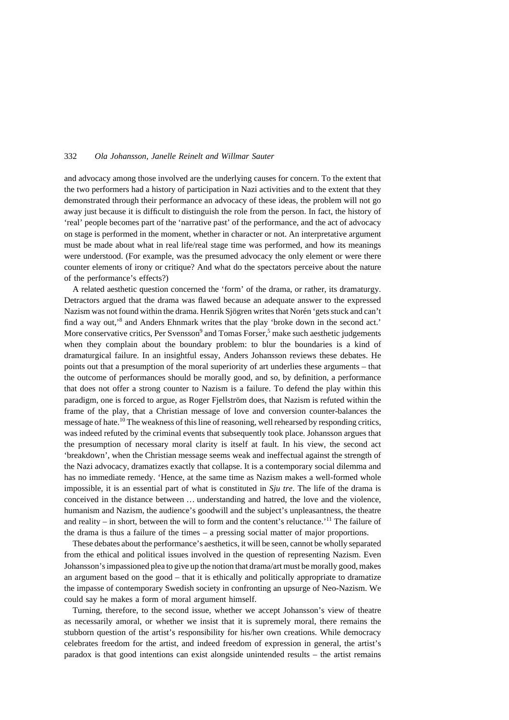and advocacy among those involved are the underlying causes for concern. To the extent that the two performers had a history of participation in Nazi activities and to the extent that they demonstrated through their performance an advocacy of these ideas, the problem will not go away just because it is difficult to distinguish the role from the person. In fact, the history of 'real' people becomes part of the 'narrative past' of the performance, and the act of advocacy on stage is performed in the moment, whether in character or not. An interpretative argument must be made about what in real life/real stage time was performed, and how its meanings were understood. (For example, was the presumed advocacy the only element or were there counter elements of irony or critique? And what do the spectators perceive about the nature of the performance's effects?)

A related aesthetic question concerned the 'form' of the drama, or rather, its dramaturgy. Detractors argued that the drama was flawed because an adequate answer to the expressed Nazism was not found within the drama. Henrik Sjögren writes that Norén 'gets stuck and can't find a way out,'<sup>8</sup> and Anders Ehnmark writes that the play 'broke down in the second act.' More conservative critics, Per Svensson<sup>9</sup> and Tomas Forser,<sup>5</sup> make such aesthetic judgements when they complain about the boundary problem: to blur the boundaries is a kind of dramaturgical failure. In an insightful essay, Anders Johansson reviews these debates. He points out that a presumption of the moral superiority of art underlies these arguments – that the outcome of performances should be morally good, and so, by definition, a performance that does not offer a strong counter to Nazism is a failure. To defend the play within this paradigm, one is forced to argue, as Roger Fiellström does, that Nazism is refuted within the frame of the play, that a Christian message of love and conversion counter-balances the message of hate.<sup>10</sup> The weakness of this line of reasoning, well rehearsed by responding critics, was indeed refuted by the criminal events that subsequently took place. Johansson argues that the presumption of necessary moral clarity is itself at fault. In his view, the second act 'breakdown', when the Christian message seems weak and ineffectual against the strength of the Nazi advocacy, dramatizes exactly that collapse. It is a contemporary social dilemma and has no immediate remedy. 'Hence, at the same time as Nazism makes a well-formed whole impossible, it is an essential part of what is constituted in *Sju tre*. The life of the drama is conceived in the distance between … understanding and hatred, the love and the violence, humanism and Nazism, the audience's goodwill and the subject's unpleasantness, the theatre and reality – in short, between the will to form and the content's reluctance.<sup>'11</sup> The failure of the drama is thus a failure of the times – a pressing social matter of major proportions.

These debates about the performance's aesthetics, it will be seen, cannot be wholly separated from the ethical and political issues involved in the question of representing Nazism. Even Johansson's impassioned plea to give up the notion that drama/art must be morally good, makes an argument based on the good – that it is ethically and politically appropriate to dramatize the impasse of contemporary Swedish society in confronting an upsurge of Neo-Nazism. We could say he makes a form of moral argument himself.

Turning, therefore, to the second issue, whether we accept Johansson's view of theatre as necessarily amoral, or whether we insist that it is supremely moral, there remains the stubborn question of the artist's responsibility for his/her own creations. While democracy celebrates freedom for the artist, and indeed freedom of expression in general, the artist's paradox is that good intentions can exist alongside unintended results – the artist remains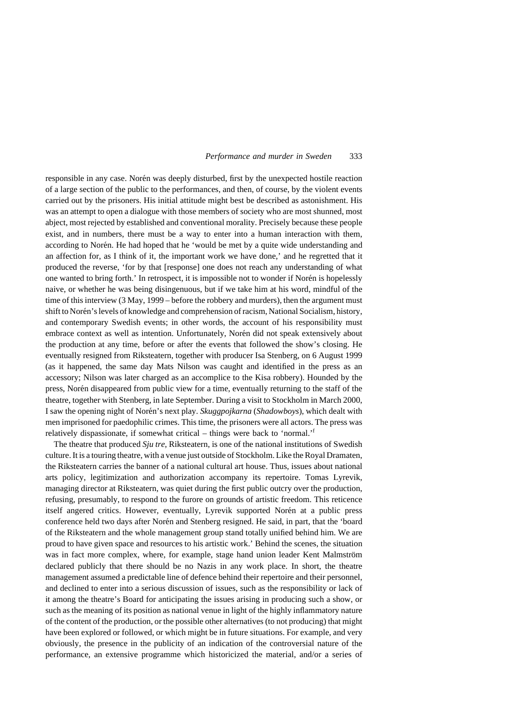responsible in any case. Norén was deeply disturbed, first by the unexpected hostile reaction of a large section of the public to the performances, and then, of course, by the violent events carried out by the prisoners. His initial attitude might best be described as astonishment. His was an attempt to open a dialogue with those members of society who are most shunned, most abject, most rejected by established and conventional morality. Precisely because these people exist, and in numbers, there must be a way to enter into a human interaction with them, according to Norén. He had hoped that he 'would be met by a quite wide understanding and an affection for, as I think of it, the important work we have done,' and he regretted that it produced the reverse, 'for by that [response] one does not reach any understanding of what one wanted to bring forth.' In retrospect, it is impossible not to wonder if Norén is hopelessly naive, or whether he was being disingenuous, but if we take him at his word, mindful of the time of this interview (3 May, 1999 – before the robbery and murders), then the argument must shift to Norén's levels of knowledge and comprehension of racism, National Socialism, history, and contemporary Swedish events; in other words, the account of his responsibility must embrace context as well as intention. Unfortunately, Norén did not speak extensively about the production at any time, before or after the events that followed the show's closing. He eventually resigned from Riksteatern, together with producer Isa Stenberg, on 6 August 1999 (as it happened, the same day Mats Nilson was caught and identified in the press as an accessory; Nilson was later charged as an accomplice to the Kisa robbery). Hounded by the press, Norén disappeared from public view for a time, eventually returning to the staff of the theatre, together with Stenberg, in late September. During a visit to Stockholm in March 2000, I saw the opening night of Nore´n's next play. *Skuggpojkarna* (*Shadowboys*), which dealt with men imprisoned for paedophilic crimes. This time, the prisoners were all actors. The press was relatively dispassionate, if somewhat critical – things were back to 'normal.'<sup>f</sup>

The theatre that produced *Sju tre*, Riksteatern, is one of the national institutions of Swedish culture. It is a touring theatre, with a venue just outside of Stockholm. Like the Royal Dramaten, the Riksteatern carries the banner of a national cultural art house. Thus, issues about national arts policy, legitimization and authorization accompany its repertoire. Tomas Lyrevik, managing director at Riksteatern, was quiet during the first public outcry over the production, refusing, presumably, to respond to the furore on grounds of artistic freedom. This reticence itself angered critics. However, eventually, Lyrevik supported Norén at a public press conference held two days after Norén and Stenberg resigned. He said, in part, that the 'board of the Riksteatern and the whole management group stand totally unified behind him. We are proud to have given space and resources to his artistic work.' Behind the scenes, the situation was in fact more complex, where, for example, stage hand union leader Kent Malmström declared publicly that there should be no Nazis in any work place. In short, the theatre management assumed a predictable line of defence behind their repertoire and their personnel, and declined to enter into a serious discussion of issues, such as the responsibility or lack of it among the theatre's Board for anticipating the issues arising in producing such a show, or such as the meaning of its position as national venue in light of the highly inflammatory nature of the content of the production, or the possible other alternatives (to not producing) that might have been explored or followed, or which might be in future situations. For example, and very obviously, the presence in the publicity of an indication of the controversial nature of the performance, an extensive programme which historicized the material, and/or a series of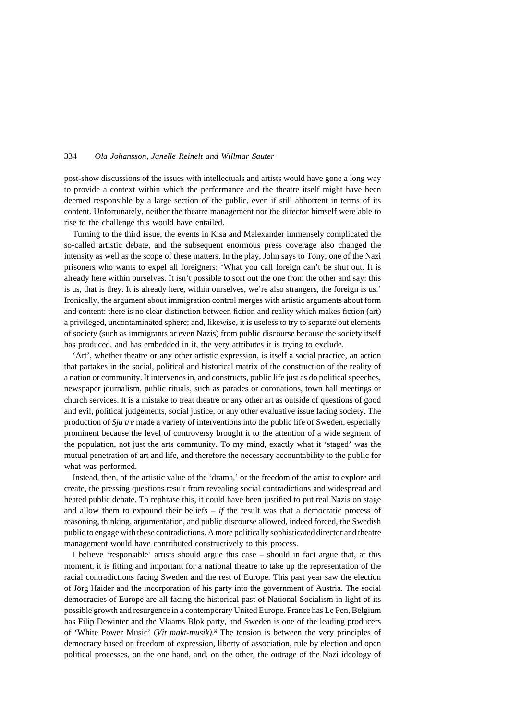post-show discussions of the issues with intellectuals and artists would have gone a long way to provide a context within which the performance and the theatre itself might have been deemed responsible by a large section of the public, even if still abhorrent in terms of its content. Unfortunately, neither the theatre management nor the director himself were able to rise to the challenge this would have entailed.

Turning to the third issue, the events in Kisa and Malexander immensely complicated the so-called artistic debate, and the subsequent enormous press coverage also changed the intensity as well as the scope of these matters. In the play, John says to Tony, one of the Nazi prisoners who wants to expel all foreigners: 'What you call foreign can't be shut out. It is already here within ourselves. It isn't possible to sort out the one from the other and say: this is us, that is they. It is already here, within ourselves, we're also strangers, the foreign is us.' Ironically, the argument about immigration control merges with artistic arguments about form and content: there is no clear distinction between fiction and reality which makes fiction (art) a privileged, uncontaminated sphere; and, likewise, it is useless to try to separate out elements of society (such as immigrants or even Nazis) from public discourse because the society itself has produced, and has embedded in it, the very attributes it is trying to exclude.

'Art', whether theatre or any other artistic expression, is itself a social practice, an action that partakes in the social, political and historical matrix of the construction of the reality of a nation or community. It intervenes in, and constructs, public life just as do political speeches, newspaper journalism, public rituals, such as parades or coronations, town hall meetings or church services. It is a mistake to treat theatre or any other art as outside of questions of good and evil, political judgements, social justice, or any other evaluative issue facing society. The production of *Sju tre* made a variety of interventions into the public life of Sweden, especially prominent because the level of controversy brought it to the attention of a wide segment of the population, not just the arts community. To my mind, exactly what it 'staged' was the mutual penetration of art and life, and therefore the necessary accountability to the public for what was performed.

Instead, then, of the artistic value of the 'drama,' or the freedom of the artist to explore and create, the pressing questions result from revealing social contradictions and widespread and heated public debate. To rephrase this, it could have been justified to put real Nazis on stage and allow them to expound their beliefs  $-$  *if* the result was that a democratic process of reasoning, thinking, argumentation, and public discourse allowed, indeed forced, the Swedish public to engage with these contradictions. A more politically sophisticated director and theatre management would have contributed constructively to this process.

I believe 'responsible' artists should argue this case – should in fact argue that, at this moment, it is fitting and important for a national theatre to take up the representation of the racial contradictions facing Sweden and the rest of Europe. This past year saw the election of Jörg Haider and the incorporation of his party into the government of Austria. The social democracies of Europe are all facing the historical past of National Socialism in light of its possible growth and resurgence in a contemporary United Europe. France has Le Pen, Belgium has Filip Dewinter and the Vlaams Blok party, and Sweden is one of the leading producers of 'White Power Music' (*Vit makt-musik)*. <sup>g</sup> The tension is between the very principles of democracy based on freedom of expression, liberty of association, rule by election and open political processes, on the one hand, and, on the other, the outrage of the Nazi ideology of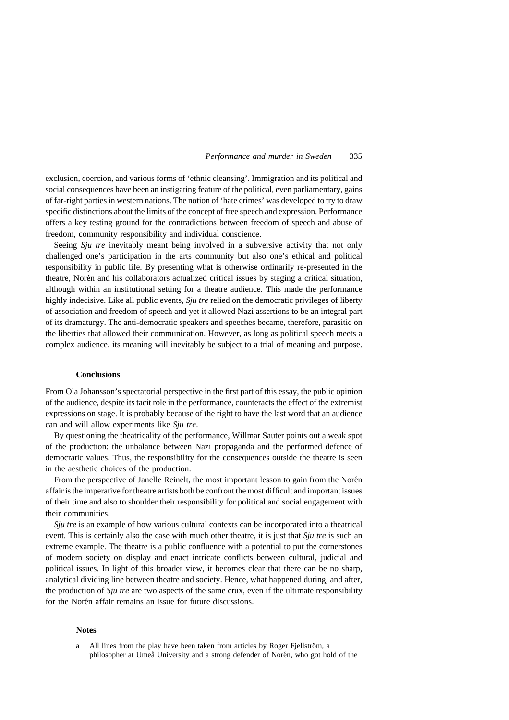exclusion, coercion, and various forms of 'ethnic cleansing'. Immigration and its political and social consequences have been an instigating feature of the political, even parliamentary, gains of far-right parties in western nations. The notion of 'hate crimes' was developed to try to draw specific distinctions about the limits of the concept of free speech and expression. Performance offers a key testing ground for the contradictions between freedom of speech and abuse of freedom, community responsibility and individual conscience.

Seeing *Sju tre* inevitably meant being involved in a subversive activity that not only challenged one's participation in the arts community but also one's ethical and political responsibility in public life. By presenting what is otherwise ordinarily re-presented in the theatre, Nore´n and his collaborators actualized critical issues by staging a critical situation, although within an institutional setting for a theatre audience. This made the performance highly indecisive. Like all public events, *Sju tre* relied on the democratic privileges of liberty of association and freedom of speech and yet it allowed Nazi assertions to be an integral part of its dramaturgy. The anti-democratic speakers and speeches became, therefore, parasitic on the liberties that allowed their communication. However, as long as political speech meets a complex audience, its meaning will inevitably be subject to a trial of meaning and purpose.

#### **Conclusions**

From Ola Johansson's spectatorial perspective in the first part of this essay, the public opinion of the audience, despite its tacit role in the performance, counteracts the effect of the extremist expressions on stage. It is probably because of the right to have the last word that an audience can and will allow experiments like *Sju tre*.

By questioning the theatricality of the performance, Willmar Sauter points out a weak spot of the production: the unbalance between Nazi propaganda and the performed defence of democratic values. Thus, the responsibility for the consequences outside the theatre is seen in the aesthetic choices of the production.

From the perspective of Janelle Reinelt, the most important lesson to gain from the Norén affair is the imperative for theatre artists both be confront the most difficult and important issues of their time and also to shoulder their responsibility for political and social engagement with their communities.

*Sju tre* is an example of how various cultural contexts can be incorporated into a theatrical event. This is certainly also the case with much other theatre, it is just that *Sju tre* is such an extreme example. The theatre is a public confluence with a potential to put the cornerstones of modern society on display and enact intricate conflicts between cultural, judicial and political issues. In light of this broader view, it becomes clear that there can be no sharp, analytical dividing line between theatre and society. Hence, what happened during, and after, the production of *Sju tre* are two aspects of the same crux, even if the ultimate responsibility for the Norén affair remains an issue for future discussions.

#### **Notes**

a All lines from the play have been taken from articles by Roger Fjellström, a philosopher at Umeå University and a strong defender of Norén, who got hold of the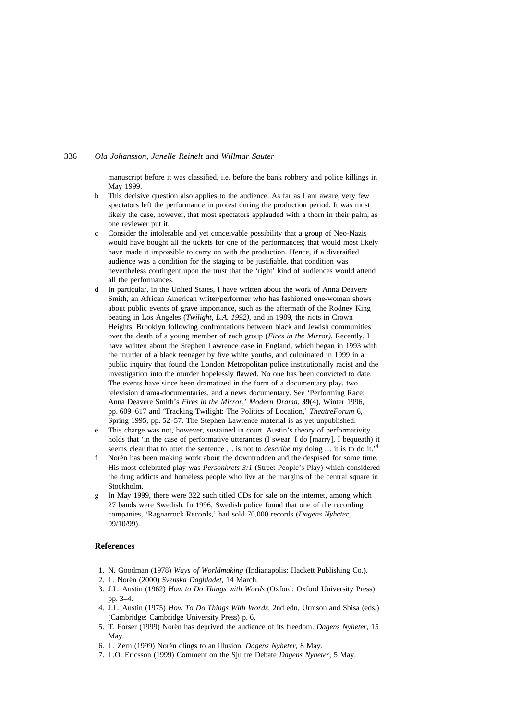manuscript before it was classified, i.e. before the bank robbery and police killings in May 1999.

- b This decisive question also applies to the audience. As far as I am aware, very few spectators left the performance in protest during the production period. It was most likely the case, however, that most spectators applauded with a thorn in their palm, as one reviewer put it.
- c Consider the intolerable and yet conceivable possibility that a group of Neo-Nazis would have bought all the tickets for one of the performances; that would most likely have made it impossible to carry on with the production. Hence, if a diversified audience was a condition for the staging to be justifiable, that condition was nevertheless contingent upon the trust that the 'right' kind of audiences would attend all the performances.
- d In particular, in the United States, I have written about the work of Anna Deavere Smith, an African American writer/performer who has fashioned one-woman shows about public events of grave importance, such as the aftermath of the Rodney King beating in Los Angeles (*Twilight, L.A. 1992),* and in 1989, the riots in Crown Heights, Brooklyn following confrontations between black and Jewish communities over the death of a young member of each group (*Fires in the Mirror).* Recently, I have written about the Stephen Lawrence case in England, which began in 1993 with the murder of a black teenager by five white youths, and culminated in 1999 in a public inquiry that found the London Metropolitan police institutionally racist and the investigation into the murder hopelessly flawed. No one has been convicted to date. The events have since been dramatized in the form of a documentary play, two television drama-documentaries, and a news documentary. See 'Performing Race: Anna Deavere Smith's *Fires in the Mirror*,' *Modern Drama*, **39**(4), Winter 1996, pp. 609–617 and 'Tracking Twilight: The Politics of Location,' *TheatreForum* 6, Spring 1995, pp. 52–57. The Stephen Lawrence material is as yet unpublished.
- e This charge was not, however, sustained in court. Austin's theory of performativity holds that 'in the case of performative utterances (I swear, I do [marry], I bequeath) it seems clear that to utter the sentence … is not to *describe* my doing … it is to do it.'<sup>4</sup>
- f Norén has been making work about the downtrodden and the despised for some time. His most celebrated play was *Personkrets 3:1* (Street People's Play) which considered the drug addicts and homeless people who live at the margins of the central square in Stockholm.
- In May 1999, there were 322 such titled CDs for sale on the internet, among which 27 bands were Swedish. In 1996, Swedish police found that one of the recording companies, 'Ragnarrock Records,' had sold 70,000 records (*Dagens Nyheter*, 09/10/99).

#### **References**

- 1. N. Goodman (1978) *Ways of Worldmaking* (Indianapolis: Hackett Publishing Co.).
- 2. L. Norén (2000) Svenska Dagbladet, 14 March.
- 3. J.L. Austin (1962) *How to Do Things with Words* (Oxford: Oxford University Press) pp. 3–4.
- 4. J.L. Austin (1975) *How To Do Things With Words*, 2nd edn, Urmson and Sbisa (eds.) (Cambridge: Cambridge University Press) p. 6.
- 5. T. Forser (1999) Norén has deprived the audience of its freedom. *Dagens Nyheter*, 15 May.
- 6. L. Zern (1999) Norén clings to an illusion. *Dagens Nyheter*, 8 May.
- 7. L.O. Ericsson (1999) Comment on the Sju tre Debate *Dagens Nyheter*, 5 May.